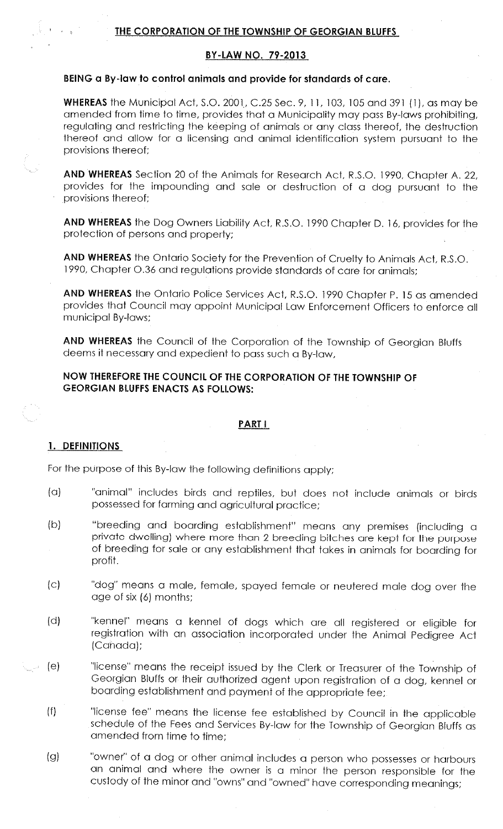# **BY-LAW NO. 79-2013**

## **BEING a By-law to control animals and provide for standards of care.**

**WHEREAS** the Municipal Act, S.O. 2001., C.25 Sec. 9, 11, 103, 105 and 391 ( 1), as may be amended from time to time, provides that a Municipality may pass By-laws prohibiting, regulating and restricting the keeping of animals or any class thereof. the destruction thereof and allow for a licensing and animal identification system pursuant to the provisions thereof;

**AND WHEREAS** Section 20 of the Animals for Research Act, R.S.O. 1990, Chapter A. 22, provides for the impounding and sale or destruction of a dog pursuant to the provisions thereof;

**AND WHEREAS** the Dog Owners Liability Act, R .S.O. 1990 Chapter D. 16, provides for the protection of persons and property;

**AND WHEREAS** the Ontario Society for the Prevention of Cruelty to Animals Act, R.S.O. 1990, Chapter 0.36 and regulations provide standards of care for animals;

**AND WHEREAS** the Ontario Police Services Act, R.S.O. 1990 Chapter P. 15 as amended provides that Council may appoint Municipal Law Enforcement Officers to enforce all municipal By-laws;

**AND WHEREAS** the Council of the Corporation of the Township of Georgian Bluffs deems it necessary and expedient to pass such a By-law,

# **NOW THEREFORE THE COUNCIL OF THE CORPORATION OF THE TOWNSHIP OF GEORGIAN BLUFFS ENACTS AS FOLLOWS:**

## **PART I**

#### **1. DEFINITIONS**

For the purpose of this By-law the following definitions apply;

- (a) "animal" includes birds and reptiles, but does not include animals or birds possessed for farming and agricultural practice;
- (b) "breeding and boarding establishment" means any premises (including <sup>a</sup> private dwelling) where more than 2 breeding bitches are kept for the purpose of breeding for sale or any establishment that takes in animals for boarding for profit.
- (c) "dog" means a male, female, spayed female or neutered male dog over the age of six (6) months;
- (d) "kennel" means a kennel of dogs which are all registered or eligible for registration with an association incorporated under the Animal Pedigree Act (Canada):
- (e) "license" means the receipt issued by the Clerk or Treasurer of the Township of Georgian Bluffs or their authorized agent upon registration of a dog, kennel or boarding establishment and payment of the appropriate fee;
	- (f) "license fee" means the license fee established by Council in the applicable schedule of the Fees and Services By-law for the Township of Georgian Bluffs as amended from time to time;
	- (g) "owner" of a dog or other animal includes a person who possesses or harbours an animal and where the owner is a minor the person responsible for the custody of the minor and "owns" and "owned" have corresponding meanings;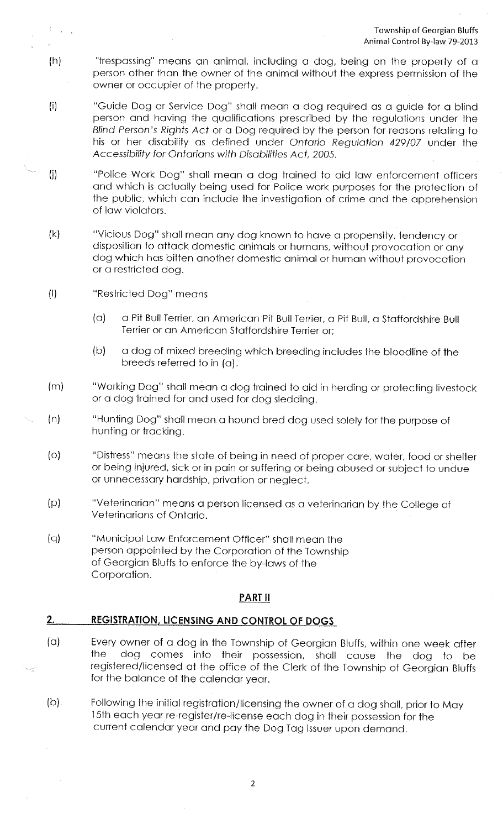- (h) "trespassing" means an animal, including a dog, being on the property of <sup>a</sup> person other than the owner of the animal without the express permission of the owner or occupier of the property.
- (i) "Guide Dog or Service Dog" shall mean a dog required as a guide for a blind person and having the qualifications prescribed by the regulations under the Blind Person's Rights Act or a Dog required by the person for reasons relating to his or her disability as defined under Ontario Regulation 429/07 under the Accessibility for Ontarians with Disabilities Act, 2005.
- (j) "Police Work Dog" shall mean a dog trained to aid law enforcement officers and which is actually being used for Police work purposes for the protection of the public, which can include the investigation of crime and the apprehension of law violators.
- (k) "Vicious Dog" shall mean any dog known to have a propensity, tendency or disposition to attack domestic animals or humans, without provocation or any dog which has bitten another domestic animal or human without provocation or a restricted dog.
- (I) "Restricted Dog" means
	- (a) a Pit Bull Terrier, an American Pit Bull Terrier, a Pit Bull, a Staffordshire Bull Terrier or an American Staffordshire Terrier or;
	- (b) a dog of mixed breeding which breeding includes the bloodline of the breeds referred to in (a).
- (m) "Working Dog" shall mean a dog trained to aid in herding or protecting livestock or a dog trained for and used for dog sledding.
- (n) "Hunting Dog" shall mean a hound bred dog used solely for the purpose of hunting or tracking.
	- (o) "Distress" means the state of being in need of proper care, water, food or shelter or being injured, sick or in pain or suffering or being abused or subject to undue or unnecessary hardship, privation or neglect.
	- (p) "Veterinarian" means a person licensed as a veterinarian by the College of Veterinarians of Ontario.
	- (q) "Municipal Law Enforcement Officer" shall mean the person appointed by the Corporation of the Township of Georgian Bluffs to enforce the by-laws of the Corporation.

# **PART II**

# 2. **REGISTRATION, LICENSING AND CONTROL OF DOGS**

- (a) Every owner of a dog in the Township of Georgian Bluffs, within one week after the dog comes into their possession, shall cause the dog to be registered/licensed at the office of the Clerk of the Township of Georgian Bluffs for the balance of the calendar year.
- (b) Following the initial registration/licensing the owner of a dog shall, prior to May 15th each year re-register/re-license each dog in their possession for the current calendar year and pay the Dog Tag Issuer upon demand.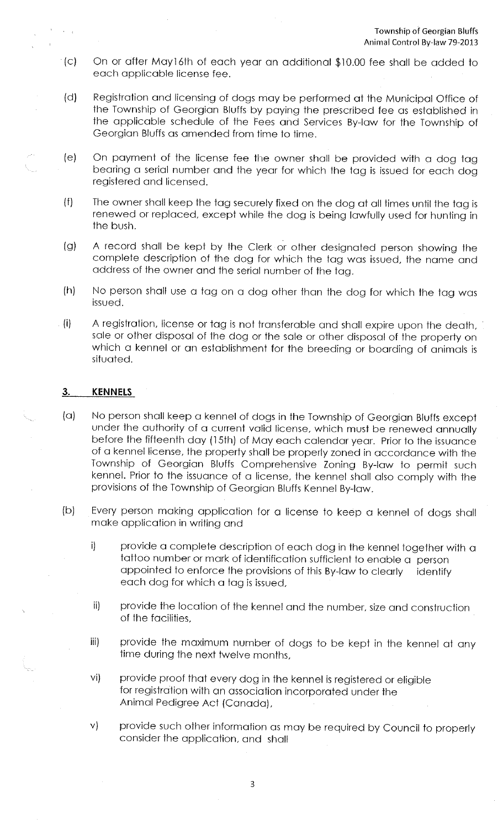- (c) On or after May16th of each year an additional \$10.00 fee shall be added to each applicable license fee.
- (d) Registration and licensing of dogs may be performed at the Municipal Office of the Township of Georgian Bluffs by paying the prescribed fee as established in the applicable schedule of the Fees and Services By-law for the Township of Georgian Bluffs as amended from time to time.
- (e) On payment of the license fee the owner shall be provided with a dog tag bearing a serial number and the year for which the tag is issued for each dog registered and licensed.
- (f) The owner shall keep the tag securely fixed on the dog at all times until the tag is renewed or replaced, except while the dog is being lawfully used for hunting in the bush.
- (g) A record shall be kept by the Clerk or other designated person showing the complete description of the dog for which the tag was issued, the name and address of the owner and the serial number of the tag.
- (h) No person shall use a tag on a dog other than the dog for which the tag was issued.
- (i) A registration, license or tag is not transferable and shall expire upon the death, · sale or other disposal of the dog or the sale or other disposal of the property on which a kennel or an establishment for the breeding or boarding of animals is situated.

## 3. **KENNELS**

- (a) No person shall keep a kennel of dogs in the Township of Georgian Bluffs except under the authority of a current valid license, which must be renewed annually before the fifteenth day (15th) of May each calendar year. Prior to the issuance of a kennel license, the property shall be properly zoned in accordance with the Township of Georgian Bluffs Comprehensive Zoning By-law to permit such kennel. Prior to the issuance of a license, the kennel shall also comply with the provisions of the Township of Georgian Bluffs Kennel By-law.
- (b) Every person making application for a license to keep a kennel of dogs shall make application in writing and
	- i) provide a complete description of each dog in the kennel together with a tattoo number or mark of identification sufficient to enable a person appointed to enforce the provisions of this By-law to clearly identify each dog for which a tag is issued.
	- ii) provide the location of the kennel and the number. size and construction of the facilities,
	- iii) provide the maximum number of dogs to be kept in the kennel at any time during the next twelve months,
	- vi) provide proof that every dog in the kennel is registered or eligible for registration with an association incorporated under the Animal Pedigree Act (Canada).
	- v) provide such other information as may be required by Council to properly consider the application, and shall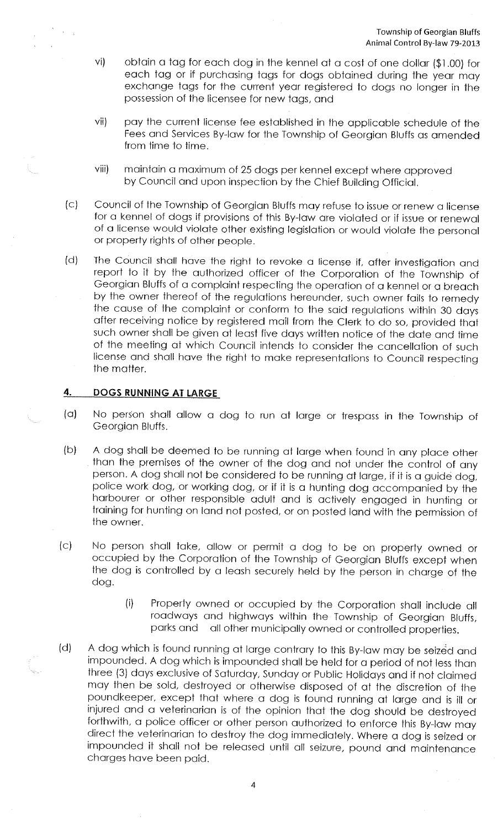- vi) obtain a tog for each dog in the kennel at a cost of one dollar (\$1 .00) for each tog or if purchasing togs for dogs obtained during the year may exchange tags for the current year registered to dogs no longer in the possession of the licensee for new tags, and
- vii) pay the current license fee established in the applicable schedule of the Fees and Services By-law for the Township of Georgian Bluffs as amended from time to time.
- viii) maintain a maximum of 25 dogs per kennel except where approved by Council and upon inspection by the Chief Building Official.
- (c) Council of the Township of Georgian Bluffs may refuse to issue or renew a license for a kennel of dogs if provisions of this By-law are violated or if issue or renewal of a license would violate other existing legislation or would violate the personal or property rights of other people.
- (d) The Council shall have the right to revoke a license if, after investigation and Georgian Bluffs of a complaint respecting the operation of a kennel or a breach by the owner thereof of the regulations hereunder, such owner fails to remedy the cause of the complaint or conform to the said regulations within 30 days after receiving notice by registered moil from the Clerk to do so, provided that such owner shall be given at least five days written notice of the dote and time of the meeting at which Council intends to consider the cancellation of such license and shall have the right to make representations to Council respecting the matter.

# **4. DOGS RUNNING AT LARGE**

- (a) No person shall allow a dog to run at large or trespass in the Township of Georgian Bluffs.
- (b) A dog shall be deemed to be running at large when found in any place other than the premises of the owner of the dog and not under the control of any person. A dog shall not be considered to be running at large, if it is a guide dog, harbourer or other responsible adult and is actively engaged in hunting or<br>training for hunting on land not posted, or on posted land with the permission of the owner.
- (c) No person shall take, allow or permit a dog to be on property owned or occupied by the Corporation of the Township of Georgian Bluffs except when the dog is controlled by a leash securely held by the person in charge of the dog.
	- (i) Property owned or occupied by the Corporation shall include all roadways and highways within the Township of Georgian Bluffs,<br>parks and all other municipally owned or controlled properties all other municipally owned or controlled properties.
- (d) A dog which is found running at large contrary to this By-law may be seized and impounded. A dog which is impounded shall be held for a period of not less than three (3) days exclusive of Saturday, Sunday or Public Holidays and if not claimed may then be sold, destroyed or otherwise disposed of at the discretion of the poundkeeper. except that where a dog is found running at Iorge and is ill or injured and a veterinarian is of the opinion that the dog should be destroyed forthwith, a police officer or other person authorized to enforce this By-law may direct the veterinarian to destroy the dog immediately. Where a dog is seized or impounded it shall not be released until all seizure, pound and maintenance charges have been paid.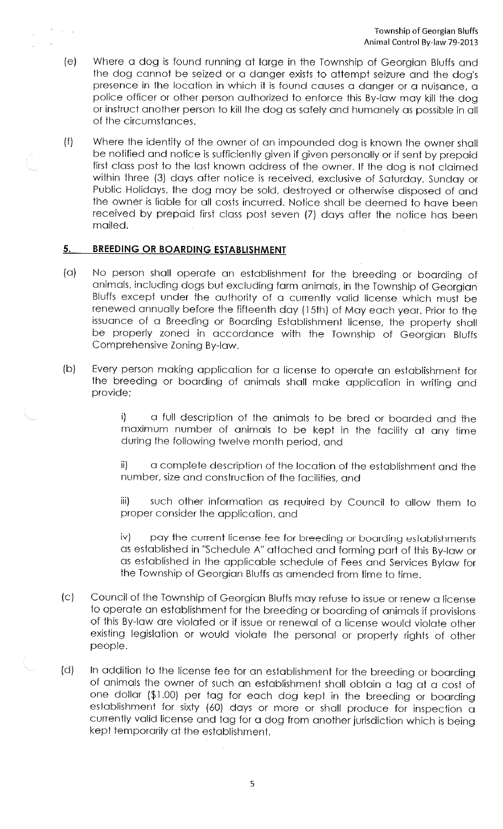- (e) Where a dog is found running at large in the Township of Georgian Bluffs and the dog cannot be seized or a danger exists to attempt seizure and the dog's presence in the location in which it is found causes a danger or a nuisance, <sup>a</sup> police officer or other person authorized to enforce this By-law may kill the dog or instruct another person to kill the dog as safely and humanely as possible in all of the circumstances.
- (f) Where the identity of the owner of an impounded dog is known the owner shall be notified and notice is sufficiently given if given personally or if sent by prepaid first class post to the last known address of the owner. If the dog is not claimed within three (3) days after notice is received, exclusive of Saturday, Sunday or Public Holidays, the dog may be sold, destroyed or otherwise disposed of and the owner is liable for all costs incurred. Notice shall be deemed to have been received by prepaid first class post seven (7) days after the notice has been mailed.

## **5. BREEDING OR BOARDING ESTABLISHMENT**

- (a) No person shall operate an establishment for the breeding or boarding of animals, including dogs but excluding farm animals, in the Township of Georgian Bluffs except under the authority of a currently valid license which must be renewed annually before the fifteenth day (15th) of May each year. Prior to the issuance of a Breeding or Boarding Establishment license, the property shall be properly zoned in accordance with the Township of Georgian Bluffs Comprehensive Zoning By-law.
- (b) Every person making application for a license to operate an establishment for the breeding or boarding of animals shall make application in writing and provide;

i) a full description of the animals to be bred or boarded and the maximum number of animals to be kept in the facility at any time during the following twelve month period, and

ii) a complete description of the location of the establishment and the number, size and construction of the facilities, and

iii) such other information as required by Council to allow them to proper consider the application, and

iv) pay the current license fee for breeding or boarding establishments as established in "Schedule A" attached and forming part of this By-law or as established in the applicable schedule of Fees and Services Bylaw for the Township of Georgian Bluffs as amended from time to time.

- (c) Council of the Township of Georgian Bluffs may refuse to issue or renew a license to operate an establishment for the breeding or boarding of animals if provisions of this By-law are violated or if issue or renewal of a license would violate other existing legislation or would violate the personal or property rights of other people.
- (d) In addition to the license fee for an establishment for the breeding or boarding of animals the owner of such an establishment shall obtain a tag at a cost of one dollar (\$1.00) per tag for each dog kept in the breeding or boarding establishment for sixty (60) days or more or shall produce for inspection <sup>a</sup> currently valid license and tag for a dog from another jurisdiction which is being kept temporarily at the establishment.

5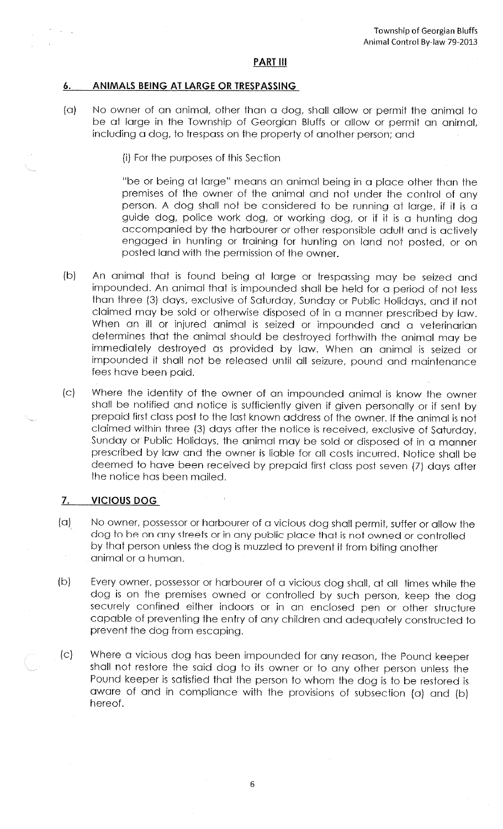### **PART Ill**

### **6. ANIMALS BEING AT LARGE OR TRESPASSING**

 $\sim 10^7$ 

(a) No owner of an animal, other than a dog, shall allow or permit the animal to be at large in the Township of Georgian Bluffs or allow or permit an animal, including a dog, to trespass on the property of another person; and

(i) For the purposes of this Section

"be or being at large" means an animal being in a place other than the premises of the owner of the animal and not under the control of any person. A dog shall not be considered to be running at large, if it is <sup>a</sup> guide dog, police work dog, or working dog, or if it is a hunting dog accompanied by the harbourer or other responsible adult and is actively engaged in hunting or training for hunting on land not posted, or on posted land with the permission of the owner.

- (b) An animal that is found being at large or trespassing may be seized and impounded. An animal that is impounded shall be held for a period of not less than three (3) days, exclusive of Saturday, Sunday or Public Holidays, and if not claimed may be sold or otherwise disposed of in a manner prescribed by law. When an ill or injured animal is seized or impounded and a veterinarian determines that the animal should be destroyed forthwith the animal may be immediately destroyed as provided by law. When an animal is seized or impounded it shall not be released until all seizure, pound and maintenance fees have been paid.
- (c) Where the identity of the owner of an impounded animal is know the owner shall be notified and notice is sufficiently given if given personally or if sent by prepaid first class post to the last known address of the owner. If the animal is not claimed within three (3) days after the notice is received, exclusive of Saturday, Sunday or Public Holidays, the animal may be sold or disposed of in a manner prescribed by law and the owner is liable for all costs incurred. Notice shall be deemed to have been received by prepaid first class post seven (7) days after the notice has been mailed.

### **7. VICIOUS DOG**

- (a) No owner, possessor or harbourer of a vicious dog shall permit, suffer or allow the dog to be on any streets or in any public place that is not owned or controlled by that person unless the dog is muzzled to prevent it from biting another animal or a human.
- (b) Every owner, possessor or harbourer of a vicious dog shall, at all times while the dog is on the premises owned or controlled by such person, keep the dog securely confined either indoors or in an enclosed pen or other structure capable of preventing the entry of any children and adequately constructed to prevent the dog from escaping.
- (c) Where a vicious dog has been impounded for any reason, the Pound keeper shall not restore the said dog to its owner or to any other person unless the Pound keeper is satisfied that the person to whom the dog is to be restored is aware of and in compliance with the provisions of subsection (a) and (b) hereof.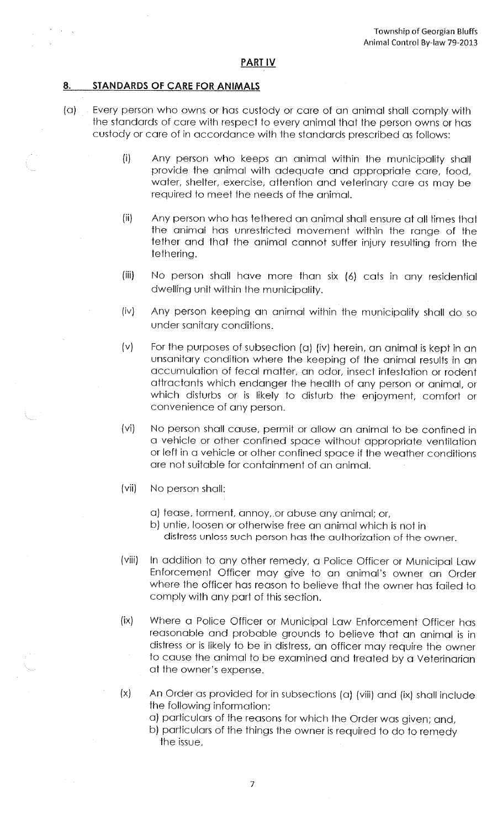#### **PART IV**

# **8. STANDARDS OF CARE FOR ANIMALS**

 $\alpha$  ,  $\alpha$ 

- (a) Every person who owns or has custody or care of an animal shall comply with the standards of care with respect to every animal that the person owns or has custody or care of in accordance with the standards prescribed as follows:
	- (i) Any person who keeps an animal within the municipality shall provide the animal with adequate and appropriate care, food, water, shelter, exercise, attention and veterinary care as may be required to meet the needs of the animal.
	- (ii) Any person who has tethered an animal shall ensure at all times that the animal has unrestricted movement within the range of the tether and that the animal cannot suffer injury resulting from the tethering.
	- (iii) No person shall have more than six (6) cats in any residential dwelling unit within the municipality.
	- (iv) Any person keeping an animal within the municipality shall do so under sanitary conditions.
	- (v) For the purposes of subsection (a) (iv) herein, an animal is kept in an unsanitary condition where the keeping of the animal results in an accumulation of fecal matter. an odor, insect infestation or rodent attractants which endanger the health of any person or animal, or which disturbs or is likely to disturb the enjoyment, comfort or convenience of any person.
	- (vi) No person shall cause, permit or allow an animal to be confined in <sup>a</sup>vehicle or other confined space without appropriate ventilation or left in a vehicle or other confined space if the weather conditions are not suitable for containment of an animal.
	- (vii) No person shall:
		- a) tease, torment, annoy,.or abuse any animal; or,
		- b) untie, loosen or otherwise free an animal which is not in distress unless such person has the authorization of the owner.
	- (viii) In addition to any other remedy, a Police Officer or Municipal Law Enforcement Officer may give to an animal's owner an Order where the officer has reason to believe that the owner has failed to comply with any part of this section.
	- (ix) Where a Police Officer or Municipal Law Enforcement Officer has reasonable and probable grounds to believe that an animal is in distress or is likely to be in distress, an officer may require the owner to cause the animal to be examined and treated by a Veterinarian at the owner's expense.
	- (x) An Order as provided for in subsections (a) (viii) and (ix) shall include the following information:
		- a) particulars of the reasons for which the Order was given; and,
		- b) particulars of the things the owner is required to do to remedy the issue.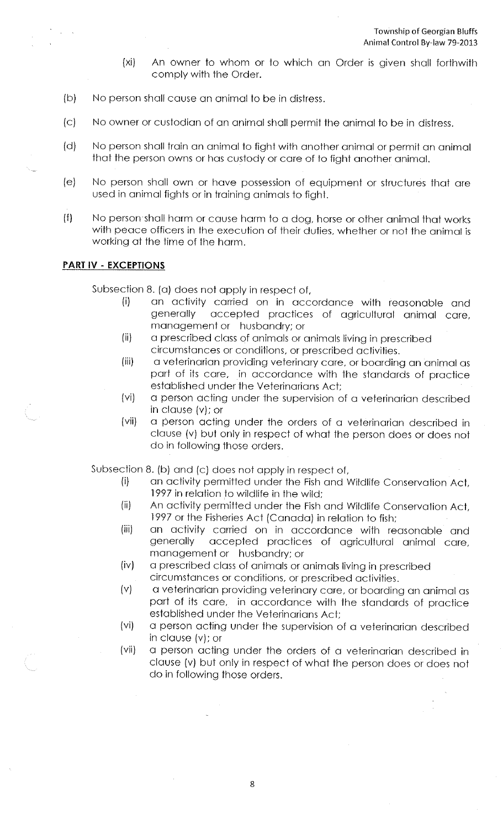- (xi) An owner to whom or to which an Order is given shall forthwith comply with the Order.
- (b) No person shall cause an animal to be in distress.
- (c) No owner or custodian of an animal shall permit the animal to be in distress.
- (d) No person shall train an animal to fight with another animal or permit an animal that the person owns or has custody or care of to fight another animal.
- (e) No person shall own or have possession of equipment or structures that are used in animal fights or in training animals to fight.
- (f) No person shall harm or cause harm to a dog, horse or other animal that works with peace officers in the execution of their duties, whether or not the animal is working at the time of the harm.

# **PART** IV • **EXCEPTIONS**

Subsection 8. (a) does not apply in respect of,

- (i) an activity carried on in accordance with reasonable and generally accepted practices of agricultural animal care, management or husbandry; or
- (ii) a prescribed class of animals or animals living in prescribed circumstances or conditions, or prescribed activities.
- (iii) a veterinarian providing veterinary care, or boarding an animal as part of its care, in accordance with the standards of practice established under the Veterinarians Act;
- (vi) a person acting under the supervision of a veterinarian described in clause (v); or
- (vii) a person acting under the orders of a veterinarian described in clause (v) but only in respect of what the person does or does not do in following those orders.

Subsection 8. (b) and (c) does not apply in respect of,

- (i) an activity permitted under the Fish and Wildlife Conservation Act, 1997 in relation to wildlife in the wild;
- (ii) An activity permitted under the Fish and Wildlife Conservation Act, 1997 or the Fisheries Act (Canada) in relation to fish;
- (iii) an activity carried on in accordance with reasonable and generally accepted practices of agricultural animal care, management or husbandry; or
- (iv) a prescribed class of animals or animals living in prescribed circumstances or conditions, or prescribed activities.
- (v) a veterinarian providing veterinary care, or boarding an animal as part of its care, in accordance with the standards of practice established under the Veterinarians Act;
- (vi) a person acting under the supervision of a veterinarian described in clause (v); or
- (vii) a person acting under the orders of a veterinarian described in clause (v) but only in respect of what the person does or does not do in following those orders.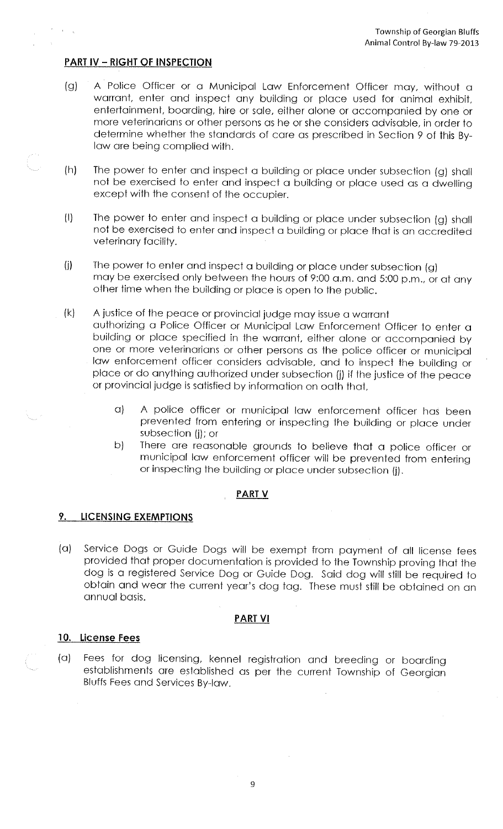# **PART IV- RIGHT OF INSPECTIQN**

- (g) A Police Officer or a Municipal Law Enforcement Officer may, without <sup>a</sup> warrant, enter and inspect any building or place used for animal exhibit, entertainment, boarding, hire or sale, either alone or accompanied by one or more veterinarians or other persons as he or she considers advisable, in order to determine whether the standards of care as prescribed in Section 9 of this Bylaw are being complied with.
- (h) The power to enter and inspect a building or place under subsection (g) shall not be exercised to enter and inspect a building or place used as a dwelling except with the consent of the occupier.
- (I) The power to enter and inspect a building or place under subsection (g) shall not be exercised to enter and inspect a building or place that is an accredited veterinary facility.
- (j) The power to enter and inspect a building or place under subsection (g) may be exercised only between the hours of 9:00 a.m. and 5:00 p.m., or at any other time when the building or place is open to the public.
- (k) A justice of the peace or provincial judge may issue a warrant authorizing a Police Officer or Municipal Law Enforcement Officer to enter <sup>a</sup> building or place specified in the warrant, either alone or accompanied by one or more veterinarians or other persons as the police officer or municipal law enforcement officer considers advisable, and to inspect the building or place or do anything authorized under subsection (j) if the justice of the peace or provincial judge is satisfied by information on oath that,
	- a) A police officer or municipal law enforcement officer has been prevented from entering or inspecting the building or place under subsection (j); or
	- b) There are reasonable grounds to believe that a police officer or municipal law enforcement officer will be prevented from entering or inspecting the building or place under subsection (j).

### **PART V**

### **9. LICENSING EXEMPTIONS**

(a) Service Dogs or Guide Dogs will be exempt from payment of all license fees provided that proper documentation is provided to the Township proving that the dog is a registered Service Dog or Guide Dog. Said dog will still be required to obtain and wear the current year's dog tag. These must still be obtained on an annual basis.

#### **PART VI**

### **10. license Fees**

(a) Fees for dog licensing, kennel registration and breeding or boarding establishments are established as per the current Township of Georgian Bluffs Fees and Services By-law.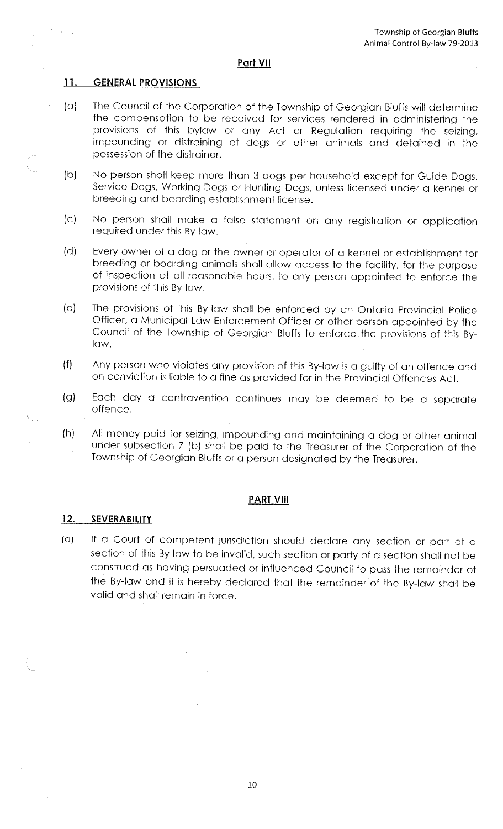#### **Part VII**

#### **11. GENERAL PROVISIONS**

- (a) The Council of the Corporation of the Township of Georgian Bluffs will determine the compensation to be received for services rendered in administering the provisions of this bylaw or any Act or Regulation requiring the seizing, impounding or distraining of dogs or other animals and detained in the possession of the distrainer.
- (b) No person shall keep more than 3 dogs per household except for Guide Dogs, Service Dogs, Working Dogs or Hunting Dogs, unless licensed under a kennel or breeding and boarding establishment license.
- (c) No person shall make a false statement on any registration or application required under this By-low.
- (d) Every owner of a dog or the owner or operator of a kennel or establishment for breeding or boarding animals shall allow access to the facility, for the purpose of inspection at all reasonable hours, to any person appointed to enforce the provisions of this By-low.
- (e) The provisions of this By-low shall be enforced by an Ontario Provincial Police Officer, a Municipal Low Enforcement Officer or other person appointed by the Council of the Township of Georgian Bluffs to enforce the provisions of this Bylaw.
- (f) Any person who violates any provision of this By-low is a guilty of an offence and on conviction is liable to a fine as provided for in the Provincial Offences Act.
- (g) Each day a contravention continues may be deemed to be a separate offence.
- (h) All money paid for seizing, impounding and maintaining a dog or other animal under subsection 7 (b) shall be paid to the Treasurer of the Corporation of the Township of Georgian Bluffs or a person designated by the Treasurer.

### **PART VIII**

### 12. **SEVERABILITY**

[a) If a Court of competent jurisdiction should declare any section or port of <sup>a</sup> section of this By-low to be invalid, such section or party of a section shall not be construed as having persuaded or influenced Council to pass the remainder of the By-low and it is hereby declared that the remainder of the By-low shall be valid and shall remain in force.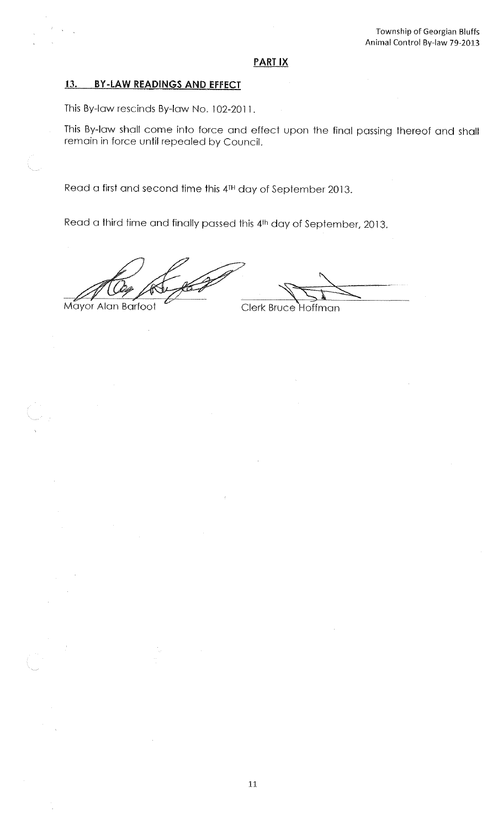### **PART IX**

# **13. BY-LAW READINGS AND EFFECT**

This By-law rescinds By-law No. 102-2011.

This By-law shall come into force and effect upon the final passing thereof and shall remain in force until repealed by Council.

Read a first and second time this 4TH day of September 2013.

Read a third time and finally passed this 41h day of September, 2013.

Mayor Alan Barfoot

~\:::~

Clerk Bruce Hoffman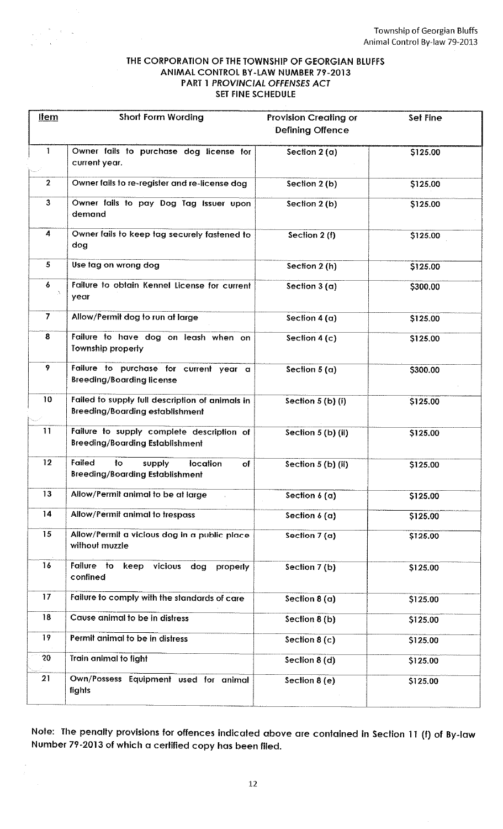### THE CORPORATION OF THE TOWNSHIP OF GEORGIAN BlUFFS ANIMAL CONTROL BY-LAW NUMBER 79-2013 PART 1 PROVINCIAL OfFENSES ACT SET FINE SCHEDULE

| <b>Item</b>    | Short Form Wording                                                                        | <b>Provision Creating or</b> | Set Fine |
|----------------|-------------------------------------------------------------------------------------------|------------------------------|----------|
|                |                                                                                           | <b>Defining Offence</b>      |          |
| 1              | Owner fails to purchase dog license for                                                   | Section $2(a)$               | \$125.00 |
|                | current year.                                                                             |                              |          |
| $\mathbf{2}$   | Owner fails to re-register and re-license dog                                             | Section 2 (b)                | \$125.00 |
| $\mathbf{3}$   | Owner fails to pay Dog Tag Issuer upon<br>demand                                          | Section 2 (b)                | \$125.00 |
| 4              | Owner fails to keep tag securely fastened to<br>dog                                       | Section 2 (f)                | \$125.00 |
| 5              | Use tag on wrong dog                                                                      | Section 2 (h)                | \$125.00 |
| 6<br>A.        | Failure to obtain Kennel License for current<br>year                                      | Section $3(a)$               | \$300.00 |
| $\overline{7}$ | Allow/Permit dog to run at large                                                          | Section $4(a)$               | \$125.00 |
| 8              | Failure to have dog on leash when on<br>Township property                                 | Section $4(c)$               | \$125.00 |
| 9              | Failure to purchase for current year a<br><b>Breeding/Boarding license</b>                | Section $5(a)$               | \$300.00 |
| 10             | Failed to supply full description of animals in<br><b>Breeding/Boarding establishment</b> | Section 5 (b) (i)            | \$125.00 |
| 11             | Failure to supply complete description of<br><b>Breeding/Boarding Establishment</b>       | Section 5 (b) (ii)           | \$125.00 |
| 12             | Failed<br>to<br>supply<br>location<br>of<br><b>Breeding/Boarding Establishment</b>        | Section 5 (b) (ii)           | \$125.00 |
| 13             | Allow/Permit animal to be at large                                                        | Section $6(a)$               | \$125.00 |
| 14             | Allow/Permit animal to trespass                                                           | Section $6(a)$               | \$125.00 |
| 15             | Allow/Permit a vicious dog in a public place<br>without muzzle                            | Section $7(a)$               | \$125.00 |
| 16             | Failure to<br>vicious<br>keep<br>dog<br>properly<br>confined                              | Section 7 (b)                | \$125.00 |
| 17             | Failure to comply with the standards of care                                              | Section $8(a)$               | \$125.00 |
| 18             | Cause animal to be in distress                                                            | Section 8 (b)                | \$125.00 |
| 19             | Permit animal to be in distress                                                           | Section $8(c)$               | \$125.00 |
| 20             | Train animal to fight                                                                     | Section 8 (d)                | \$125.00 |
| 21             | Own/Possess Equipment used for animal<br>fights                                           | Section 8 (e)                | \$125.00 |

Note: The penalty provisions for offences indicated above are contained in Section 11 (f) of By-law Number 79-2013 of which a certified copy has been filed.